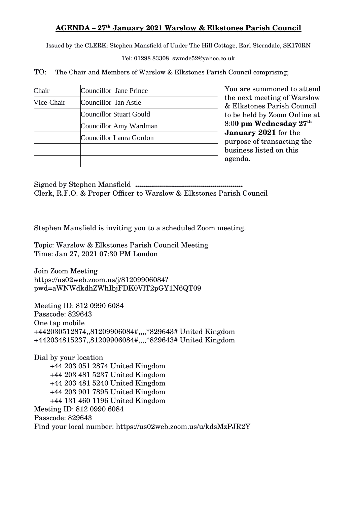## **AGENDA – 27th January 2021 Warslow & Elkstones Parish Council**

Issued by the CLERK: Stephen Mansfield of Under The Hill Cottage, Earl Sterndale, SK170RN

Tel: 01298 83308 swmde52@yahoo.co.uk

TO: The Chair and Members of Warslow & Elkstones Parish Council comprising;

| Chair      | Councillor Jane Prince  |
|------------|-------------------------|
| Vice-Chair | Councillor Ian Astle    |
|            | Councillor Stuart Gould |
|            | Councillor Amy Wardman  |
|            | Councillor Laura Gordon |
|            |                         |
|            |                         |

You are summoned to attend the next meeting of Warslow & Elkstones Parish Council to be held by Zoom Online at 8:0**0 pm Wednesday 27th January 2021** for the purpose of transacting the business listed on this agenda.

Signed by Stephen Mansfield **......................................................** Clerk, R.F.O. & Proper Officer to Warslow & Elkstones Parish Council

Stephen Mansfield is inviting you to a scheduled Zoom meeting.

Topic: Warslow & Elkstones Parish Council Meeting Time: Jan 27, 2021 07:30 PM London

Join Zoom Meeting https://us02web.zoom.us/j/81209906084? pwd=aWNWdkdhZWhIbjFDK0VlT2pGY1N6QT09

Meeting ID: 812 0990 6084 Passcode: 829643 One tap mobile +442030512874,,81209906084#,,,,\*829643# United Kingdom +442034815237,,81209906084#,,,,\*829643# United Kingdom

Dial by your location +44 203 051 2874 United Kingdom +44 203 481 5237 United Kingdom +44 203 481 5240 United Kingdom +44 203 901 7895 United Kingdom +44 131 460 1196 United Kingdom Meeting ID: 812 0990 6084 Passcode: 829643 Find your local number: https://us02web.zoom.us/u/kdsMzPJR2Y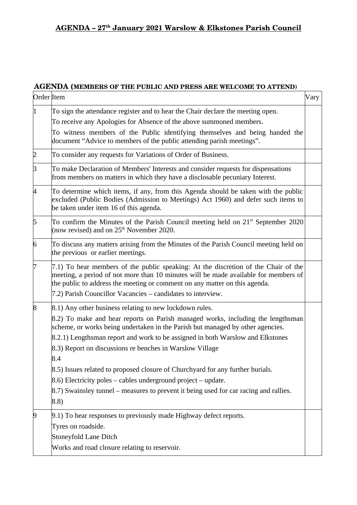## **AGENDA (MEMBERS OF THE PUBLIC AND PRESS ARE WELCOME TO ATTEND)**

| Order Item |                                                                                                                                                                                                                                                                                                                        | Vary |
|------------|------------------------------------------------------------------------------------------------------------------------------------------------------------------------------------------------------------------------------------------------------------------------------------------------------------------------|------|
| $\vert$ 1  | To sign the attendance register and to hear the Chair declare the meeting open.<br>To receive any Apologies for Absence of the above summoned members.<br>To witness members of the Public identifying themselves and being handed the<br>document "Advice to members of the public attending parish meetings".        |      |
| 2          | To consider any requests for Variations of Order of Business.                                                                                                                                                                                                                                                          |      |
| 3          | To make Declaration of Members' Interests and consider requests for dispensations<br>from members on matters in which they have a disclosable pecuniary Interest.                                                                                                                                                      |      |
| 4          | To determine which items, if any, from this Agenda should be taken with the public<br>excluded (Public Bodies (Admission to Meetings) Act 1960) and defer such items to<br>be taken under item 16 of this agenda.                                                                                                      |      |
| 5          | To confirm the Minutes of the Parish Council meeting held on 21 <sup>st</sup> September 2020<br>(now revised) and on $25th$ November 2020.                                                                                                                                                                             |      |
| 6          | To discuss any matters arising from the Minutes of the Parish Council meeting held on<br>the previous or earlier meetings.                                                                                                                                                                                             |      |
| 17         | 7.1) To hear members of the public speaking: At the discretion of the Chair of the<br>meeting, a period of not more than 10 minutes will be made available for members of<br>the public to address the meeting or comment on any matter on this agenda.<br>7.2) Parish Councillor Vacancies - candidates to interview. |      |
| 8          | 8.1) Any other business relating to new lockdown rules.                                                                                                                                                                                                                                                                |      |
|            | 8.2) To make and hear reports on Parish managed works, including the lengthsman<br>scheme, or works being undertaken in the Parish but managed by other agencies.<br>8.2.1) Lengthsman report and work to be assigned in both Warslow and Elkstones<br>8.3) Report on discussions re benches in Warslow Village        |      |
|            | 8.4<br>8.5) Issues related to proposed closure of Churchyard for any further burials.<br>$(8.6)$ Electricity poles – cables underground project – update.<br>8.7) Swainsley tunnel – measures to prevent it being used for car racing and rallies.<br>(8.8)                                                            |      |
| 9          | 9.1) To hear responses to previously made Highway defect reports.<br>Tyres on roadside.<br><b>Stoneyfold Lane Ditch</b><br>Works and road closure relating to reservoir.                                                                                                                                               |      |